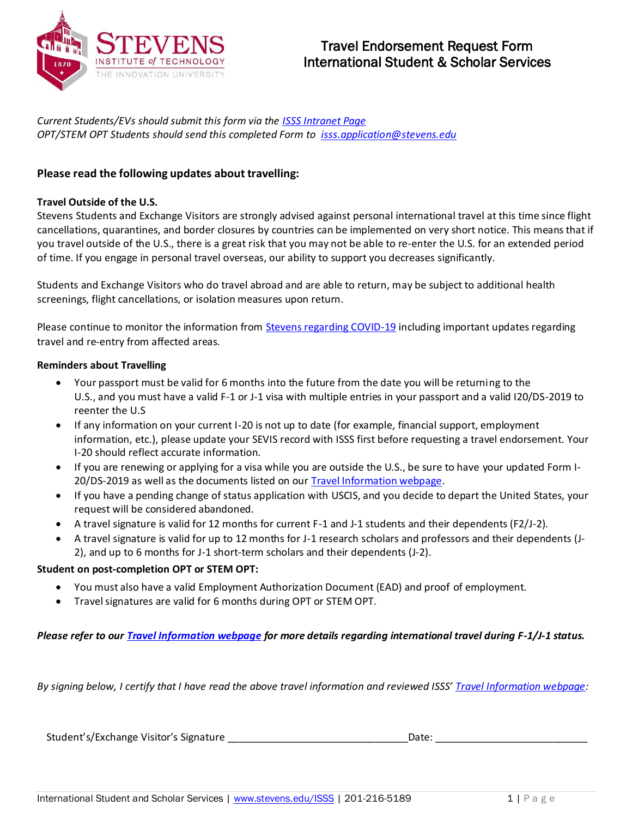

*Current Students/EVs should submit this form via the [ISSS Intranet Page](https://my.stevens.edu/isss/content/travel-endorsement-request-form-0) OPT/STEM OPT Students should send this completed Form to [isss.application@stevens.edu](mailto:isss.application@stevens.edu)*

## **Please read the following updates about travelling:**

## **Travel Outside of the U.S.**

Stevens Students and Exchange Visitors are strongly advised against personal international travel at this time since flight cancellations, quarantines, and border closures by countries can be implemented on very short notice. This means that if you travel outside of the U.S., there is a great risk that you may not be able to re-enter the U.S. for an extended period of time. If you engage in personal travel overseas, our ability to support you decreases significantly.

Students and Exchange Visitors who do travel abroad and are able to return, may be subject to additional health screenings, flight cancellations, or isolation measures upon return.

Please continue to monitor the information from **Stevens regarding COVID-19** including important updates regarding travel and re-entry from affected areas.

## **Reminders about Travelling**

- Your passport must be valid for 6 months into the future from the date you will be returning to the U.S., and you must have a valid F-1 or J-1 visa with multiple entries in your passport and a valid I20/DS-2019 to reenter the U.S
- If any information on your current I-20 is not up to date (for example, financial support, employment information, etc.), please update your SEVIS record with ISSS first before requesting a travel endorsement. Your I-20 should reflect accurate information.
- If you are renewing or applying for a visa while you are outside the U.S., be sure to have your updated Form I-20/DS-2019 as well as the documents listed on our **Travel Information webpage**.
- If you have a pending change of status application with USCIS, and you decide to depart the United States, your request will be considered abandoned.
- A travel signature is valid for 12 months for current F-1 and J-1 students and their dependents (F2/J-2).
- A travel signature is valid for up to 12 months for J-1 research scholars and professors and their dependents (J-2), and up to 6 months for J-1 short-term scholars and their dependents (J-2).

## **Student on post-completion OPT or STEM OPT:**

- You must also have a valid Employment Authorization Document (EAD) and proof of employment.
- Travel signatures are valid for 6 months during OPT or STEM OPT.

*Please refer to ou[r Travel Information webpage](https://www.stevens.edu/directory/international-student-and-scholar-services/travel-information) for more details regarding international travel during F-1/J-1 status.*

*By signing below, I certify that I have read the above travel information and reviewed ISSS' [Travel Information webpage:](https://www.stevens.edu/directory/international-student-and-scholar-services/travel-information)*

Student's/Exchange Visitor's Signature \_\_\_\_\_\_\_\_\_\_\_\_\_\_\_\_\_\_\_\_\_\_\_\_\_\_\_\_\_\_\_\_Date: \_\_\_\_\_\_\_\_\_\_\_\_\_\_\_\_\_\_\_\_\_\_\_\_\_\_\_